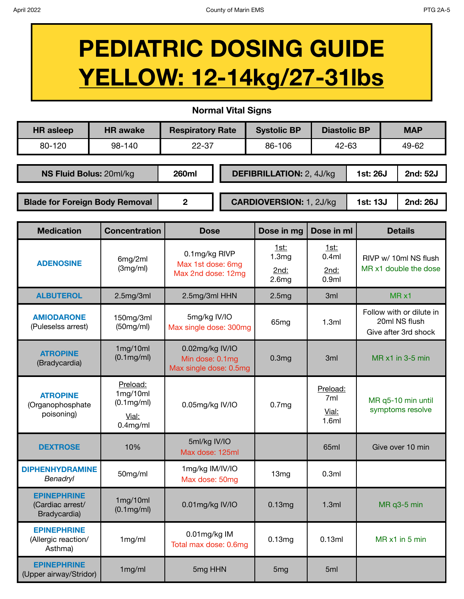## **PEDIATRIC DOSING GUIDE YELLOW: 12-14kg/27-31lbs**

**Normal Vital Signs**

| <b>HR</b> asleep                      | <b>HR</b> awake | <b>Respiratory Rate</b> |  | <b>Systolic BP</b>              | <b>Diastolic BP</b> |          | <b>MAP</b>           |
|---------------------------------------|-----------------|-------------------------|--|---------------------------------|---------------------|----------|----------------------|
| 80-120                                | 98-140          | $22 - 37$               |  | 86-106                          | $42 - 63$           |          | 49-62                |
|                                       |                 |                         |  |                                 |                     |          |                      |
| NS Fluid Bolus: 20ml/kg               |                 | <b>260ml</b>            |  | <b>DEFIBRILLATION: 2, 4J/kg</b> |                     |          | 2nd: 52J<br>1st: 26J |
|                                       |                 |                         |  |                                 |                     |          |                      |
| <b>Blade for Foreign Body Removal</b> |                 | 2                       |  | <b>CARDIOVERSION: 1, 2J/kg</b>  |                     | 1st: 13J | 2nd: 26J             |

| <b>Medication</b>                                      | <b>Concentration</b>                                             | <b>Dose</b>                                                  | Dose in mg                                             | Dose in ml                                 | <b>Details</b>                                                    |
|--------------------------------------------------------|------------------------------------------------------------------|--------------------------------------------------------------|--------------------------------------------------------|--------------------------------------------|-------------------------------------------------------------------|
| <b>ADENOSINE</b>                                       | 6mg/2ml<br>(3mg/ml)                                              | 0.1mg/kg RIVP<br>Max 1st dose: 6mg<br>Max 2nd dose: 12mg     | 1st:<br>1.3 <sub>mg</sub><br>2nd:<br>2.6 <sub>mg</sub> | 1st:<br>0.4ml<br>2nd:<br>0.9 <sub>ml</sub> | RIVP w/ 10ml NS flush<br>MR x1 double the dose                    |
| <b>ALBUTEROL</b>                                       | 2.5mg/3ml                                                        | 2.5mg/3ml HHN                                                | 2.5mg                                                  | 3 <sub>ml</sub>                            | $MR \times 1$                                                     |
| <b>AMIODARONE</b><br>(Puleselss arrest)                | 150mg/3ml<br>(50mg/ml)                                           | 5mg/kg IV/IO<br>Max single dose: 300mg                       | 65mg                                                   | 1.3ml                                      | Follow with or dilute in<br>20ml NS flush<br>Give after 3rd shock |
| <b>ATROPINE</b><br>(Bradycardia)                       | 1mg/10ml<br>(0.1mg/ml)                                           | 0.02mg/kg IV/IO<br>Min dose: 0.1mg<br>Max single dose: 0.5mg | 0.3 <sub>mg</sub>                                      | 3 <sub>ml</sub>                            | $MR \times 1$ in 3-5 min                                          |
| <b>ATROPINE</b><br>(Organophosphate<br>poisoning)      | Preload:<br>1mg/10ml<br>$(0.1$ mg/ml $)$<br>Vial:<br>$0.4$ mg/ml | 0.05mg/kg IV/IO                                              | 0.7 <sub>mg</sub>                                      | Preload:<br>7ml<br>Vial:<br>1.6ml          | MR q5-10 min until<br>symptoms resolve                            |
| <b>DEXTROSE</b>                                        | 10%                                                              | 5ml/kg IV/IO<br>Max dose: 125ml                              |                                                        | 65ml                                       | Give over 10 min                                                  |
| <b>DIPHENHYDRAMINE</b><br>Benadryl                     | 50mg/ml                                                          | 1mg/kg IM/IV/IO<br>Max dose: 50mg                            | 13 <sub>mg</sub>                                       | 0.3ml                                      |                                                                   |
| <b>EPINEPHRINE</b><br>(Cardiac arrest/<br>Bradycardia) | 1mg/10ml<br>(0.1mg/ml)                                           | 0.01mg/kg IV/IO                                              | 0.13mg                                                 | 1.3ml                                      | MR q3-5 min                                                       |
| <b>EPINEPHRINE</b><br>(Allergic reaction/<br>Asthma)   | 1mg/ml                                                           | 0.01mg/kg IM<br>Total max dose: 0.6mg                        | 0.13mg                                                 | 0.13ml                                     | MR x1 in 5 min                                                    |
| <b>EPINEPHRINE</b><br>(Upper airway/Stridor)           | 1mg/ml                                                           | 5mg HHN                                                      | 5 <sub>mg</sub>                                        | 5 <sub>ml</sub>                            |                                                                   |